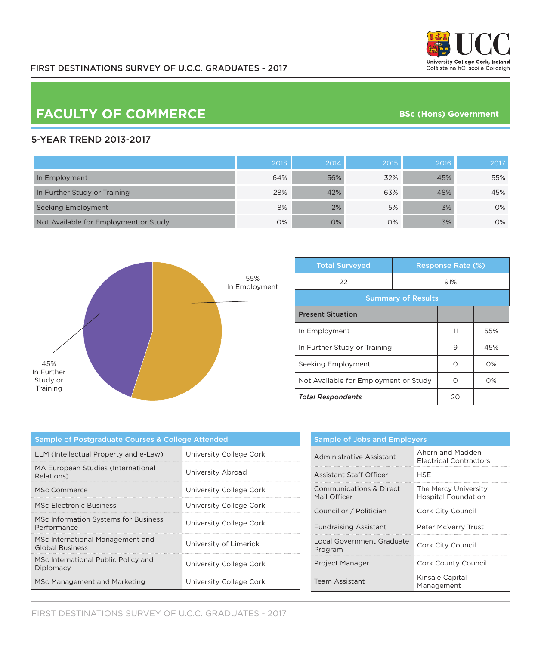

## **FACULTY OF COMMERCE**

**BSc (Hons) Government**

## 5-YEAR TREND 2013-2017

|                                       | 2013 | 2014 | 2015 | 2016 | 2017 |
|---------------------------------------|------|------|------|------|------|
| In Employment                         | 64%  | 56%  | 32%  | 45%  | 55%  |
| In Further Study or Training          | 28%  | 42%  | 63%  | 48%  | 45%  |
| Seeking Employment                    | 8%   | 2%   | 5%   | 3%   | 0%   |
| Not Available for Employment or Study | 0%   | 0%   | 0%   | 3%   | 0%   |



| <b>Total Surveyed</b>                 | <b>Response Rate (%)</b> |    |       |  |
|---------------------------------------|--------------------------|----|-------|--|
| 22                                    | 91%                      |    |       |  |
| <b>Summary of Results</b>             |                          |    |       |  |
| <b>Present Situation</b>              |                          |    |       |  |
| In Employment                         |                          | 11 | 55%   |  |
| In Further Study or Training          |                          | 9  | 45%   |  |
| Seeking Employment                    |                          | ∩  | $O\%$ |  |
| Not Available for Employment or Study |                          |    | $O\%$ |  |
| <b>Total Respondents</b>              |                          | 20 |       |  |

| Sample of Postgraduate Courses & College Attended          |                         |  |  |
|------------------------------------------------------------|-------------------------|--|--|
| LLM (Intellectual Property and e-Law)                      | University College Cork |  |  |
| MA European Studies (International<br>Relations)           | University Abroad       |  |  |
| MSc Commerce                                               | University College Cork |  |  |
| MSc Electronic Business                                    | University College Cork |  |  |
| MSc Information Systems for Business<br>Performance        | University College Cork |  |  |
| MSc International Management and<br><b>Global Business</b> | University of Limerick  |  |  |
| MSc International Public Policy and<br>Diplomacy           | University College Cork |  |  |
| MSc Management and Marketing                               | University College Cork |  |  |

| <b>Sample of Jobs and Employers</b>         |                                                    |  |  |
|---------------------------------------------|----------------------------------------------------|--|--|
| Administrative Assistant                    | Ahern and Madden<br><b>Electrical Contractors</b>  |  |  |
| Assistant Staff Officer                     | HSF                                                |  |  |
| Communications & Direct<br>Mail Officer     | The Mercy University<br><b>Hospital Foundation</b> |  |  |
| Councillor / Politician                     | Cork City Council                                  |  |  |
| <b>Fundraising Assistant</b>                | Peter McVerry Trust                                |  |  |
| <b>Local Government Graduate</b><br>Program | Cork City Council                                  |  |  |
| Project Manager                             | Cork County Council                                |  |  |
| Team Assistant                              | Kinsale Capital<br>Management                      |  |  |